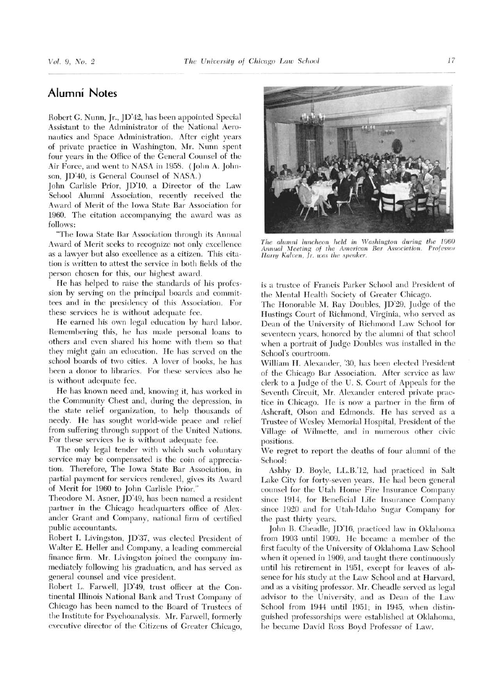## Alumni Notes

Robert G. Nunn, Jr., JD'42, has been appointed Special Assistant to the Administrator of the National Aeronautics and Space Administration. After eight years of private practice in Washington, Mr. Nunn spent four years in the Office of the General Counsel of the Air Force, and went to NASA in 1958. (John A. Johnson, JD'40, is General Counsel of NASA.)

John Carlisle Prior, JD'10, <sup>a</sup> Director of the Law School Alumni Association, recently received the Award of Merit of the Iowa State Bar Association for 1960. The citation accompanying the award was as follows:

"The Iowa State Bar Association through its Annual Award of Merit seeks to recognize not only excellence as a lawyer but also excellence as <sup>a</sup> citizen. This citation is written to attest the service in both fields of the person chosen for this, our highest award.

He has helped to raise the standards of his profession by serving on the principal boards and committees and in the presidency of this Association. For these services he is without adequate fee.

He earned his own legal education by hard labor. Remembering this, he has made personal loans to others and even shared his horne with them so that they might gain an education. He has served on the school boards of two cities. A lover of books, he has been a donor to libraries. For these services also he is without adequate fee.

He has known need and, knowing it, has worked in the Community Chest and, during the depression, in the state relief organization, to help thousands of needy. He has sought world-wide peace and relief from suffering through support of the United Nations. For these services he is without adequate fee.

The only legal tender with which such voluntary service may be compensated is the coin of appreciation. Therefore, The Iowa State Bar Association, in partial payment for services rendered, gives its Award of Merit for <sup>1960</sup> to John Carlisle Prior."

Theodore M. Asner, JD'49, has been named <sup>a</sup> resident partner in the Chicago headquarters office of Alexander Grant and Company, national firm of certified public accountants.

Robert I. Livingston, JD'37, was elected President of Walter E. Heller and Company, <sup>a</sup> leading commercial finance firm. Mr. Livingston joined the company immediately following his graduation, and has served as general counsel and vice president.

Robert L. Farwell, JD'49, trust officer at the Continental Illinois National Bank and Trust Company of Chicago has been named to the Board of Trustees of the Institute for Psychoanalysis. Mr. Farwell, formerly executive director of the Citizens of Greater Chicago,



The alumni luncheon held in Washington during the 1960 Annual Meeting of the American Bar Association. Professor Harry Koleen, Jr. was the speaker.

is a trustee of Francis Parker School and President of the Mental Health Society of Greater Chicago.

The Honorable M. Ray Doubles, JD'29, Judge of the Hustings Court of Richmond, Virginia, who served as Dean of the University of Richmond Law School for seventeen years, honored by the alumni of that school when <sup>a</sup> portrait of Judge Doubles was installed in the School's courtroom.

William H. Alexander, '30, has been elected President of the Chicago Bar Association. After service as law clerk to <sup>a</sup> Judge of the U. S. Court of Appeals for the Seventh Circuit, Mr. Alexander entered private practice in Chicago. He is now <sup>a</sup> partner in the firm of Ashcraft, Olson and Edmonds. He has served as <sup>a</sup> Trustee of Wesley Memorial Hospital, President of the Village of Wilmette, and in numerous other civic positions.

We regret to report the deaths of four alumni of the School:

Ashby D. Boyle, LL.B.'12, had practiced in Salt Lake City for forty-seven years. He had been general counsel for the Utah Home Fire Insurance Company since 1914, for Beneficial Life Insurance Company since <sup>1920</sup> and for Utah-Idaho Sugar Company for the past thirty years.

John B. Cheadle, JD'16, practiced law in Oklahoma from 1903 until 1909. He became a member of the first faculty of the University of Oklahoma Law School when it opened in 1909, and taught there continuously until his retirement in 1951, except for leaves of absence for his study at the Law School and at Harvard, and as a visiting professor. Mr. Cheadle served as legal advisor to the University, and as Dean of the Law School from <sup>1944</sup> until 1951; in 1945, when distinguished professorships were established at Oklahoma, he became David Ross Boyd Professor of Law.